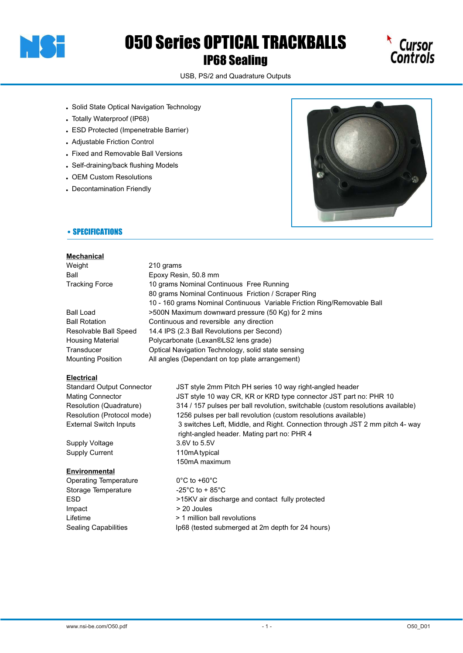

# O50 Series OPTICAL TRACKBALLS IP68 Sealing



USB, PS/2 and Quadrature Outputs

- . Solid State Optical Navigation Technology
- . Totally Waterproof (IP68)
- . ESD Protected (Impenetrable Barrier)
- ! Adjustable Friction Control
- . Fixed and Removable Ball Versions
- . Self-draining/back flushing Models
- . OEM Custom Resolutions
- . Decontamination Friendly



## • SPECIFICATIONS

#### **Mechanical**

| Weight                | 210 grams                                                               |
|-----------------------|-------------------------------------------------------------------------|
| Ball                  | Epoxy Resin, 50.8 mm                                                    |
| <b>Tracking Force</b> | 10 grams Nominal Continuous Free Running                                |
|                       | 80 grams Nominal Continuous Friction / Scraper Ring                     |
|                       | 10 - 160 grams Nominal Continuous Variable Friction Ring/Removable Ball |
| Ball Load             | >500N Maximum downward pressure (50 Kg) for 2 mins                      |
| Ball Rotation         | Continuous and reversible any direction                                 |
| Resolvable Ball Speed | 14.4 IPS (2.3 Ball Revolutions per Second)                              |
| Housing Material      | Polycarbonate (Lexan®LS2 lens grade)                                    |
| Transducer            | Optical Navigation Technology, solid state sensing                      |
| Mounting Position     | All angles (Dependant on top plate arrangement)                         |

### **Electrical**

| <b>Standard Output Connector</b> | JST style 2mm Pitch PH series 10 way right-angled header                        |
|----------------------------------|---------------------------------------------------------------------------------|
| Mating Connector                 | JST style 10 way CR, KR or KRD type connector JST part no: PHR 10               |
| Resolution (Quadrature)          | 314 / 157 pulses per ball revolution, switchable (custom resolutions available) |
| Resolution (Protocol mode)       | 1256 pulses per ball revolution (custom resolutions available)                  |
| External Switch Inputs           | 3 switches Left, Middle, and Right. Connection through JST 2 mm pitch 4- way    |
|                                  | right-angled header. Mating part no: PHR 4                                      |
| Supply Voltage                   | 3.6V to 5.5V                                                                    |
| Supply Current                   | 110mA typical                                                                   |
|                                  | 150mA maximum                                                                   |
| Environmental                    |                                                                                 |
| Operating Temperature            | $0^{\circ}$ C to +60 $^{\circ}$ C                                               |
| Storage Temperature              | -25 $^{\circ}$ C to + 85 $^{\circ}$ C                                           |
| ESD                              | >15KV air discharge and contact fully protected                                 |

- Impact > 20 Joules
- Lifetime **ball in the 1** million ball revolutions
- Sealing Capabilities Ip68 (tested submerged at 2m depth for 24 hours)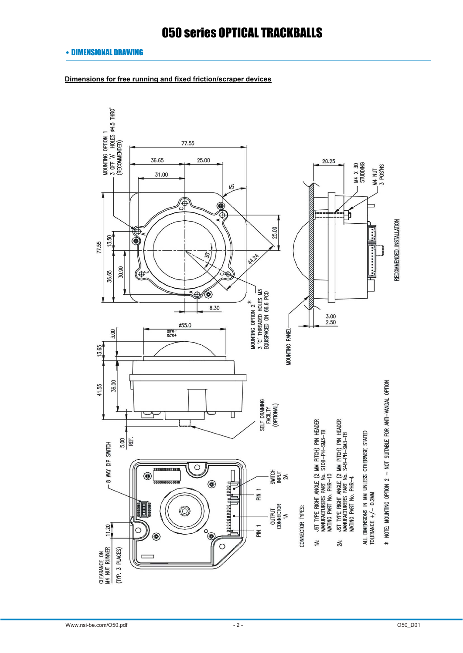### • DIMENSIONAL DRAWING

**Dimensions for free running and fixed friction/scraper devices**

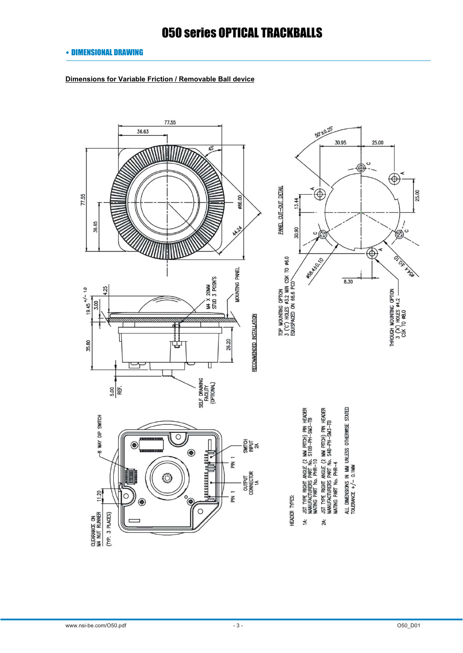## • DIMENSIONAL DRAWING

**Dimensions for Variable Friction / Removable Ball device**

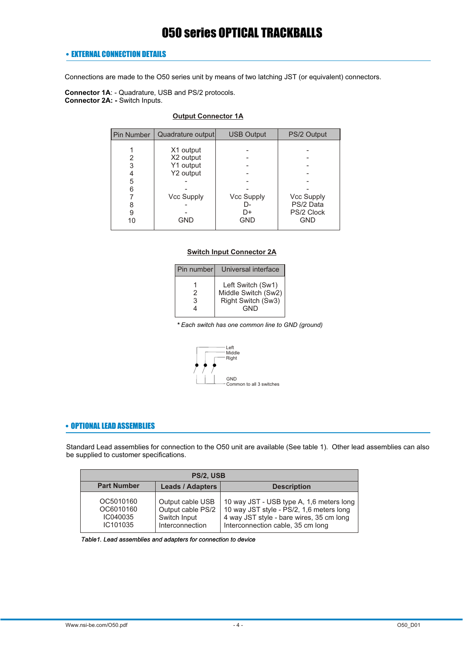### • EXTERNAL CONNECTION DETAILS

Connections are made to the O50 series unit by means of two latching JST (or equivalent) connectors.

**Connector 1A**: - Quadrature, USB and PS/2 protocols. **Connector 2A: -** Switch Inputs.

## **Output Connector 1A**

| <b>Pin Number</b> | Quadrature output      | <b>USB Output</b> | PS/2 Output             |
|-------------------|------------------------|-------------------|-------------------------|
| 2                 | X1 output<br>X2 output |                   |                         |
| 3                 | Y1 output              |                   |                         |
| 4<br>5            | Y2 output              |                   |                         |
| հ                 | <b>Vcc Supply</b>      | <b>Vcc Supply</b> | <b>Vcc Supply</b>       |
| 9                 |                        | I)-<br>D+         | PS/2 Data<br>PS/2 Clock |
| 10                | GND                    | <b>GND</b>        | GND                     |

#### **Switch Input Connector 2A**

| Pin number | Universal interface                                                   |
|------------|-----------------------------------------------------------------------|
| 2<br>3     | Left Switch (Sw1)<br>Middle Switch (Sw2)<br>Right Switch (Sw3)<br>GND |

*\* Each switch has one common line to GND (ground)*



## • OPTIONAL LEAD ASSEMBLIES

Standard Lead assemblies for connection to the O50 unit are available (See table 1). Other lead assemblies can also be supplied to customer specifications.

| PS/2, USB                                      |                                                                          |                                                                                                                                                                       |  |  |  |  |
|------------------------------------------------|--------------------------------------------------------------------------|-----------------------------------------------------------------------------------------------------------------------------------------------------------------------|--|--|--|--|
| <b>Part Number</b>                             | <b>Leads / Adapters</b>                                                  | <b>Description</b>                                                                                                                                                    |  |  |  |  |
| OC5010160<br>OC6010160<br>IC040035<br>IC101035 | Output cable USB<br>Output cable PS/2<br>Switch Input<br>Interconnection | 10 way JST - USB type A, 1,6 meters long<br>10 way JST style - PS/2, 1,6 meters long<br>4 way JST style - bare wires, 35 cm long<br>Interconnection cable, 35 cm long |  |  |  |  |

| Table1. Lead assemblies and adapters for connection to device |  |  |  |  |  |  |  |  |  |
|---------------------------------------------------------------|--|--|--|--|--|--|--|--|--|
|---------------------------------------------------------------|--|--|--|--|--|--|--|--|--|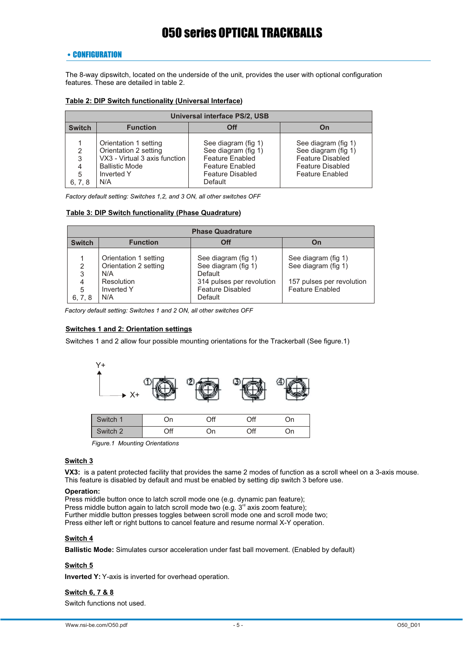## • CONFIGURATION

The 8-way dipswitch, located on the underside of the unit, provides the user with optional configuration features. These are detailed in table 2.

#### **Table 2: DIP Switch functionality (Universal Interface)**

|                                    | Universal interface PS/2, USB                                                                                                 |                                                                                                                               |                                                                                                                            |  |  |  |  |  |
|------------------------------------|-------------------------------------------------------------------------------------------------------------------------------|-------------------------------------------------------------------------------------------------------------------------------|----------------------------------------------------------------------------------------------------------------------------|--|--|--|--|--|
| <b>Switch</b>                      | <b>Function</b>                                                                                                               | <b>Off</b>                                                                                                                    | On                                                                                                                         |  |  |  |  |  |
| $\mathcal{P}$<br>3<br>5<br>6, 7, 8 | Orientation 1 setting<br>Orientation 2 setting<br>VX3 - Virtual 3 axis function<br><b>Ballistic Mode</b><br>Inverted Y<br>N/A | See diagram (fig 1)<br>See diagram (fig 1)<br><b>Feature Enabled</b><br><b>Feature Enabled</b><br>Feature Disabled<br>Default | See diagram (fig 1)<br>See diagram (fig 1)<br><b>Feature Disabled</b><br><b>Feature Disabled</b><br><b>Feature Enabled</b> |  |  |  |  |  |

*Factory default setting: Switches 1,2, and 3 ON, all other switches OFF*

#### **Table 3: DIP Switch functionality (Phase Quadrature)**

|                             | <b>Phase Quadrature</b>                                                                  |                                                                                                                          |                                                                                                   |  |  |  |  |
|-----------------------------|------------------------------------------------------------------------------------------|--------------------------------------------------------------------------------------------------------------------------|---------------------------------------------------------------------------------------------------|--|--|--|--|
| <b>Switch</b>               | <b>Function</b>                                                                          | Off                                                                                                                      | On                                                                                                |  |  |  |  |
| 2<br>3<br>4<br>5<br>6, 7, 8 | Orientation 1 setting<br>Orientation 2 setting<br>N/A<br>Resolution<br>Inverted Y<br>N/A | See diagram (fig 1)<br>See diagram (fig 1)<br>Default<br>314 pulses per revolution<br><b>Feature Disabled</b><br>Default | See diagram (fig 1)<br>See diagram (fig 1)<br>157 pulses per revolution<br><b>Feature Enabled</b> |  |  |  |  |

*Factory default setting: Switches 1 and 2 ON, all other switches OFF*

### **Switches 1 and 2: Orientation settings**

Switches 1 and 2 allow four possible mounting orientations for the Trackerball (See figure.1)



*Figure.1 Mounting Orientations*

#### **Switch 3**

**VX3:** is a patent protected facility that provides the same 2 modes of function as a scroll wheel on a 3-axis mouse. This feature is disabled by default and must be enabled by setting dip switch 3 before use.

#### **Operation:**

Press middle button once to latch scroll mode one (e.g. dynamic pan feature); Press middle button again to latch scroll mode two (e.g.  $3<sup>rd</sup>$  axis zoom feature); Further middle button presses toggles between scroll mode one and scroll mode two; Press either left or right buttons to cancel feature and resume normal X-Y operation.

#### **Switch 4**

**Ballistic Mode:** Simulates cursor acceleration under fast ball movement. (Enabled by default)

## **Switch 5**

**Inverted Y:** Y-axis is inverted for overhead operation.

## **Switch 6, 7 & 8**

Switch functions not used.